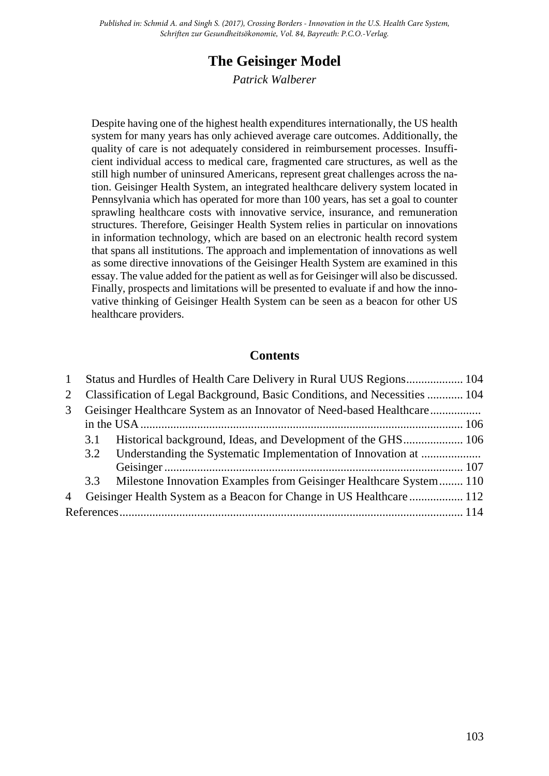*Published in: Schmid A. and Singh S. (2017), Crossing Borders - Innovation in the U.S. Health Care System, Schriften zur Gesundheitsökonomie, Vol. 84, Bayreuth: P.C.O.-Verlag.*

# **The Geisinger Model**

*Patrick Walberer*

Despite having one of the highest health expenditures internationally, the US health system for many years has only achieved average care outcomes. Additionally, the quality of care is not adequately considered in reimbursement processes. Insufficient individual access to medical care, fragmented care structures, as well as the still high number of uninsured Americans, represent great challenges across the nation. Geisinger Health System, an integrated healthcare delivery system located in Pennsylvania which has operated for more than 100 years, has set a goal to counter sprawling healthcare costs with innovative service, insurance, and remuneration structures. Therefore, Geisinger Health System relies in particular on innovations in information technology, which are based on an electronic health record system that spans all institutions. The approach and implementation of innovations as well as some directive innovations of the Geisinger Health System are examined in this essay. The value added for the patient as well as for Geisinger will also be discussed. Finally, prospects and limitations will be presented to evaluate if and how the innovative thinking of Geisinger Health System can be seen as a beacon for other US healthcare providers.

#### **Contents**

| $\mathbf{1}$   | Status and Hurdles of Health Care Delivery in Rural UUS Regions 104        |                                                                    |  |
|----------------|----------------------------------------------------------------------------|--------------------------------------------------------------------|--|
| 2              | Classification of Legal Background, Basic Conditions, and Necessities  104 |                                                                    |  |
| 3              |                                                                            |                                                                    |  |
|                |                                                                            |                                                                    |  |
|                | 3.1                                                                        |                                                                    |  |
|                |                                                                            |                                                                    |  |
|                |                                                                            |                                                                    |  |
|                | 3.3                                                                        | Milestone Innovation Examples from Geisinger Healthcare System 110 |  |
| $\overline{4}$ | Geisinger Health System as a Beacon for Change in US Healthcare 112        |                                                                    |  |
|                |                                                                            |                                                                    |  |
|                |                                                                            |                                                                    |  |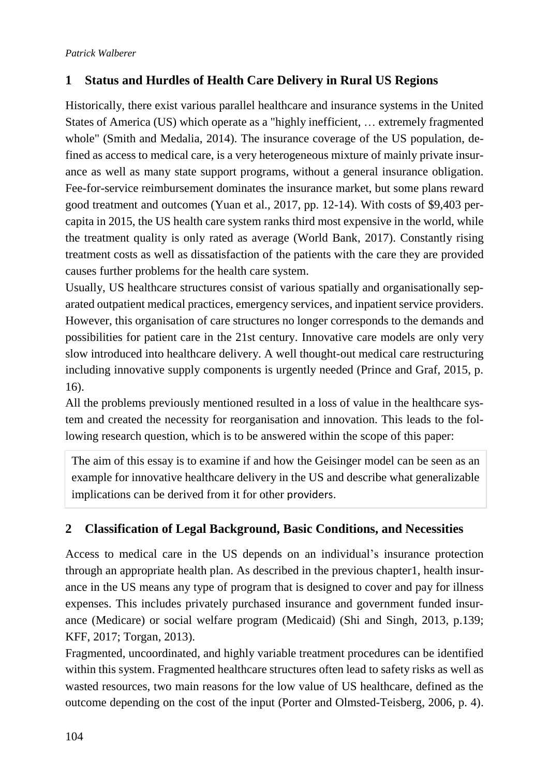# <span id="page-1-0"></span>**1 Status and Hurdles of Health Care Delivery in Rural US Regions**

Historically, there exist various parallel healthcare and insurance systems in the United States of America (US) which operate as a "highly inefficient, … extremely fragmented whole" (Smith and Medalia, 2014). The insurance coverage of the US population, defined as access to medical care, is a very heterogeneous mixture of mainly private insurance as well as many state support programs, without a general insurance obligation. Fee-for-service reimbursement dominates the insurance market, but some plans reward good treatment and outcomes (Yuan et al., 2017, pp. 12-14). With costs of \$9,403 percapita in 2015, the US health care system ranks third most expensive in the world, while the treatment quality is only rated as average (World Bank, 2017). Constantly rising treatment costs as well as dissatisfaction of the patients with the care they are provided causes further problems for the health care system.

Usually, US healthcare structures consist of various spatially and organisationally separated outpatient medical practices, emergency services, and inpatient service providers. However, this organisation of care structures no longer corresponds to the demands and possibilities for patient care in the 21st century. Innovative care models are only very slow introduced into healthcare delivery. A well thought-out medical care restructuring including innovative supply components is urgently needed (Prince and Graf, 2015, p. 16).

All the problems previously mentioned resulted in a loss of value in the healthcare system and created the necessity for reorganisation and innovation. This leads to the following research question, which is to be answered within the scope of this paper:

The aim of this essay is to examine if and how the Geisinger model can be seen as an example for innovative healthcare delivery in the US and describe what generalizable implications can be derived from it for other providers.

# <span id="page-1-1"></span>**2 Classification of Legal Background, Basic Conditions, and Necessities**

Access to medical care in the US depends on an individual's insurance protection through an appropriate health plan. As described in the previous chapter1, health insurance in the US means any type of program that is designed to cover and pay for illness expenses. This includes privately purchased insurance and government funded insurance (Medicare) or social welfare program (Medicaid) (Shi and Singh, 2013, p.139; KFF, 2017; Torgan, 2013).

Fragmented, uncoordinated, and highly variable treatment procedures can be identified within this system. Fragmented healthcare structures often lead to safety risks as well as wasted resources, two main reasons for the low value of US healthcare, defined as the outcome depending on the cost of the input (Porter and Olmsted-Teisberg, 2006, p. 4).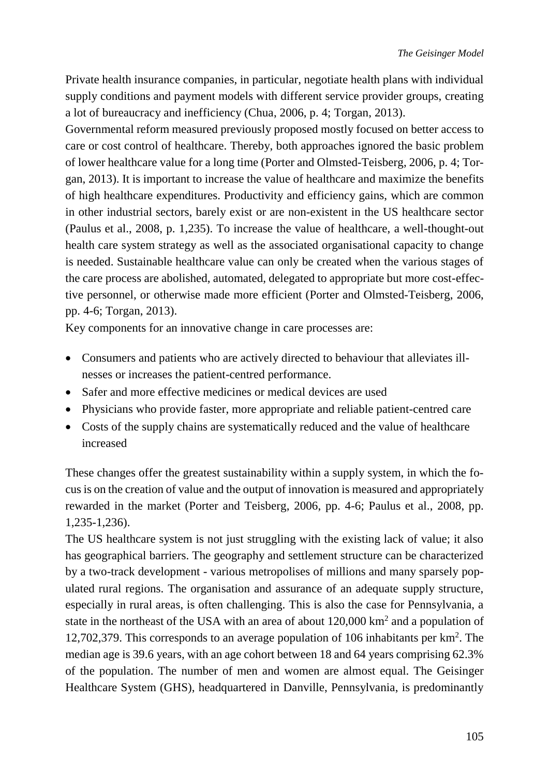Private health insurance companies, in particular, negotiate health plans with individual supply conditions and payment models with different service provider groups, creating a lot of bureaucracy and inefficiency (Chua, 2006, p. 4; Torgan, 2013).

Governmental reform measured previously proposed mostly focused on better access to care or cost control of healthcare. Thereby, both approaches ignored the basic problem of lower healthcare value for a long time (Porter and Olmsted-Teisberg, 2006, p. 4; Torgan, 2013). It is important to increase the value of healthcare and maximize the benefits of high healthcare expenditures. Productivity and efficiency gains, which are common in other industrial sectors, barely exist or are non-existent in the US healthcare sector (Paulus et al., 2008, p. 1,235). To increase the value of healthcare, a well-thought-out health care system strategy as well as the associated organisational capacity to change is needed. Sustainable healthcare value can only be created when the various stages of the care process are abolished, automated, delegated to appropriate but more cost-effective personnel, or otherwise made more efficient (Porter and Olmsted-Teisberg, 2006, pp. 4-6; Torgan, 2013).

Key components for an innovative change in care processes are:

- Consumers and patients who are actively directed to behaviour that alleviates illnesses or increases the patient-centred performance.
- Safer and more effective medicines or medical devices are used
- Physicians who provide faster, more appropriate and reliable patient-centred care
- Costs of the supply chains are systematically reduced and the value of healthcare increased

These changes offer the greatest sustainability within a supply system, in which the focus is on the creation of value and the output of innovation is measured and appropriately rewarded in the market (Porter and Teisberg, 2006, pp. 4-6; Paulus et al., 2008, pp. 1,235-1,236).

The US healthcare system is not just struggling with the existing lack of value; it also has geographical barriers. The geography and settlement structure can be characterized by a two-track development - various metropolises of millions and many sparsely populated rural regions. The organisation and assurance of an adequate supply structure, especially in rural areas, is often challenging. This is also the case for Pennsylvania, a state in the northeast of the USA with an area of about  $120,000 \text{ km}^2$  and a population of 12,702,379. This corresponds to an average population of 106 inhabitants per  $km<sup>2</sup>$ . The median age is 39.6 years, with an age cohort between 18 and 64 years comprising 62.3% of the population. The number of men and women are almost equal. The Geisinger Healthcare System (GHS), headquartered in Danville, Pennsylvania, is predominantly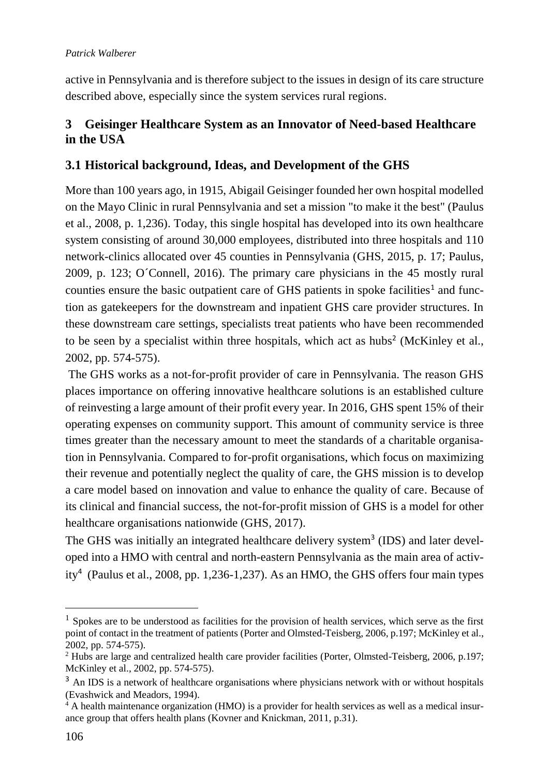#### *Patrick Walberer*

active in Pennsylvania and is therefore subject to the issues in design of its care structure described above, especially since the system services rural regions.

### <span id="page-3-0"></span>**3 Geisinger Healthcare System as an Innovator of Need-based Healthcare in the USA**

### <span id="page-3-1"></span>**3.1 Historical background, Ideas, and Development of the GHS**

More than 100 years ago, in 1915, Abigail Geisinger founded her own hospital modelled on the Mayo Clinic in rural Pennsylvania and set a mission "to make it the best" (Paulus et al., 2008, p. 1,236). Today, this single hospital has developed into its own healthcare system consisting of around 30,000 employees, distributed into three hospitals and 110 network-clinics allocated over 45 counties in Pennsylvania (GHS, 2015, p. 17; Paulus, 2009, p. 123; O´Connell, 2016). The primary care physicians in the 45 mostly rural counties ensure the basic outpatient care of GHS patients in spoke facilities<sup>1</sup> and function as gatekeepers for the downstream and inpatient GHS care provider structures. In these downstream care settings, specialists treat patients who have been recommended to be seen by a specialist within three hospitals, which act as hubs<sup>2</sup> (McKinley et al., 2002, pp. 574-575).

The GHS works as a not-for-profit provider of care in Pennsylvania. The reason GHS places importance on offering innovative healthcare solutions is an established culture of reinvesting a large amount of their profit every year. In 2016, GHS spent 15% of their operating expenses on community support. This amount of community service is three times greater than the necessary amount to meet the standards of a charitable organisation in Pennsylvania. Compared to for-profit organisations, which focus on maximizing their revenue and potentially neglect the quality of care, the GHS mission is to develop a care model based on innovation and value to enhance the quality of care. Because of its clinical and financial success, the not-for-profit mission of GHS is a model for other healthcare organisations nationwide (GHS, 2017).

The GHS was initially an integrated healthcare delivery system<sup>3</sup> (IDS) and later developed into a HMO with central and north-eastern Pennsylvania as the main area of activity<sup>4</sup> (Paulus et al., 2008, pp. 1,236-1,237). As an HMO, the GHS offers four main types

 $1$  Spokes are to be understood as facilities for the provision of health services, which serve as the first point of contact in the treatment of patients (Porter and Olmsted-Teisberg, 2006, p.197; McKinley et al., 2002, pp. 574-575).

<sup>&</sup>lt;sup>2</sup> Hubs are large and centralized health care provider facilities (Porter, Olmsted-Teisberg, 2006, p.197; McKinley et al., 2002, pp. 574-575).

<sup>&</sup>lt;sup>3</sup> An IDS is a network of healthcare organisations where physicians network with or without hospitals (Evashwick and Meadors, 1994).

<sup>&</sup>lt;sup>4</sup> A health maintenance organization (HMO) is a provider for health services as well as a medical insurance group that offers health plans (Kovner and Knickman, 2011, p.31).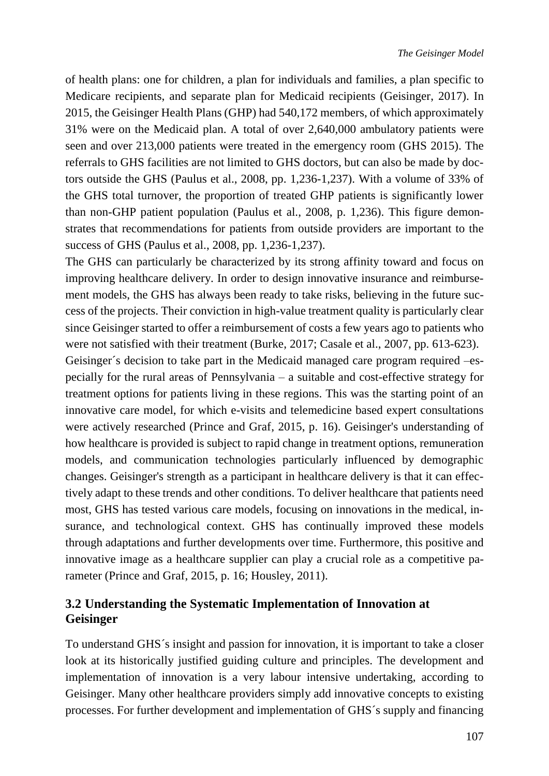of health plans: one for children, a plan for individuals and families, a plan specific to Medicare recipients, and separate plan for Medicaid recipients (Geisinger, 2017). In 2015, the Geisinger Health Plans (GHP) had 540,172 members, of which approximately 31% were on the Medicaid plan. A total of over 2,640,000 ambulatory patients were seen and over 213,000 patients were treated in the emergency room (GHS 2015). The referrals to GHS facilities are not limited to GHS doctors, but can also be made by doctors outside the GHS (Paulus et al., 2008, pp. 1,236-1,237). With a volume of 33% of the GHS total turnover, the proportion of treated GHP patients is significantly lower than non-GHP patient population (Paulus et al., 2008, p. 1,236). This figure demonstrates that recommendations for patients from outside providers are important to the success of GHS (Paulus et al., 2008, pp. 1,236-1,237).

The GHS can particularly be characterized by its strong affinity toward and focus on improving healthcare delivery. In order to design innovative insurance and reimbursement models, the GHS has always been ready to take risks, believing in the future success of the projects. Their conviction in high-value treatment quality is particularly clear since Geisinger started to offer a reimbursement of costs a few years ago to patients who were not satisfied with their treatment (Burke, 2017; Casale et al., 2007, pp. 613-623).

Geisinger´s decision to take part in the Medicaid managed care program required –especially for the rural areas of Pennsylvania – a suitable and cost-effective strategy for treatment options for patients living in these regions. This was the starting point of an innovative care model, for which e-visits and telemedicine based expert consultations were actively researched (Prince and Graf, 2015, p. 16). Geisinger's understanding of how healthcare is provided is subject to rapid change in treatment options, remuneration models, and communication technologies particularly influenced by demographic changes. Geisinger's strength as a participant in healthcare delivery is that it can effectively adapt to these trends and other conditions. To deliver healthcare that patients need most, GHS has tested various care models, focusing on innovations in the medical, insurance, and technological context. GHS has continually improved these models through adaptations and further developments over time. Furthermore, this positive and innovative image as a healthcare supplier can play a crucial role as a competitive parameter (Prince and Graf, 2015, p. 16; Housley, 2011).

# <span id="page-4-0"></span>**3.2 Understanding the Systematic Implementation of Innovation at Geisinger**

To understand GHS´s insight and passion for innovation, it is important to take a closer look at its historically justified guiding culture and principles. The development and implementation of innovation is a very labour intensive undertaking, according to Geisinger. Many other healthcare providers simply add innovative concepts to existing processes. For further development and implementation of GHS´s supply and financing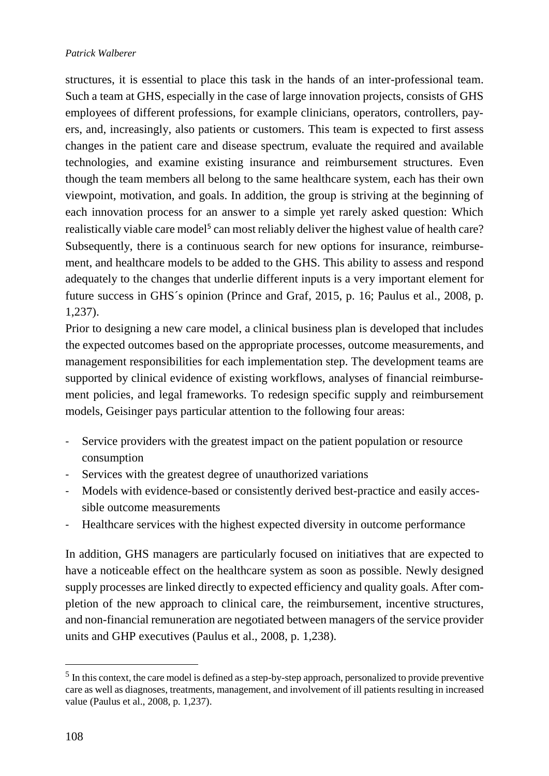structures, it is essential to place this task in the hands of an inter-professional team. Such a team at GHS, especially in the case of large innovation projects, consists of GHS employees of different professions, for example clinicians, operators, controllers, payers, and, increasingly, also patients or customers. This team is expected to first assess changes in the patient care and disease spectrum, evaluate the required and available technologies, and examine existing insurance and reimbursement structures. Even though the team members all belong to the same healthcare system, each has their own viewpoint, motivation, and goals. In addition, the group is striving at the beginning of each innovation process for an answer to a simple yet rarely asked question: Which realistically viable care model<sup>5</sup> can most reliably deliver the highest value of health care? Subsequently, there is a continuous search for new options for insurance, reimbursement, and healthcare models to be added to the GHS. This ability to assess and respond adequately to the changes that underlie different inputs is a very important element for future success in GHS´s opinion (Prince and Graf, 2015, p. 16; Paulus et al., 2008, p. 1,237).

Prior to designing a new care model, a clinical business plan is developed that includes the expected outcomes based on the appropriate processes, outcome measurements, and management responsibilities for each implementation step. The development teams are supported by clinical evidence of existing workflows, analyses of financial reimbursement policies, and legal frameworks. To redesign specific supply and reimbursement models, Geisinger pays particular attention to the following four areas:

- Service providers with the greatest impact on the patient population or resource consumption
- Services with the greatest degree of unauthorized variations
- Models with evidence-based or consistently derived best-practice and easily accessible outcome measurements
- Healthcare services with the highest expected diversity in outcome performance

In addition, GHS managers are particularly focused on initiatives that are expected to have a noticeable effect on the healthcare system as soon as possible. Newly designed supply processes are linked directly to expected efficiency and quality goals. After completion of the new approach to clinical care, the reimbursement, incentive structures, and non-financial remuneration are negotiated between managers of the service provider units and GHP executives (Paulus et al., 2008, p. 1,238).

 $<sup>5</sup>$  In this context, the care model is defined as a step-by-step approach, personalized to provide preventive</sup> care as well as diagnoses, treatments, management, and involvement of ill patients resulting in increased value (Paulus et al., 2008, p. 1,237).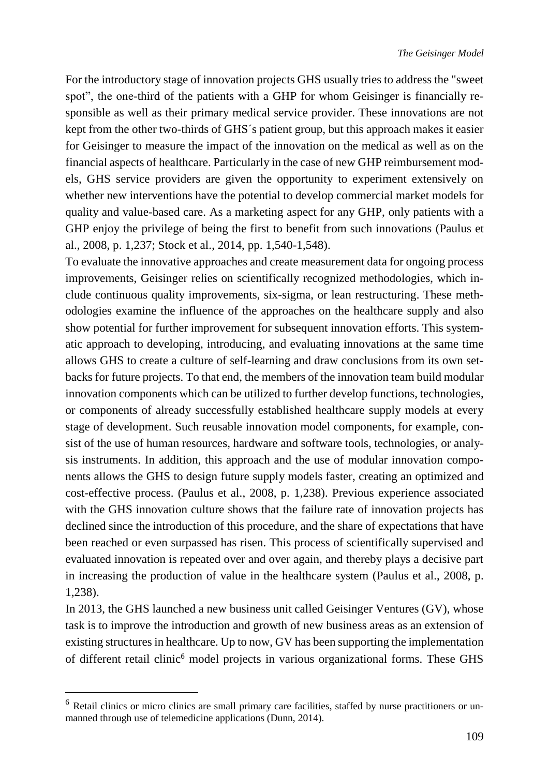For the introductory stage of innovation projects GHS usually tries to address the "sweet spot", the one-third of the patients with a GHP for whom Geisinger is financially responsible as well as their primary medical service provider. These innovations are not kept from the other two-thirds of GHS´s patient group, but this approach makes it easier for Geisinger to measure the impact of the innovation on the medical as well as on the financial aspects of healthcare. Particularly in the case of new GHP reimbursement models, GHS service providers are given the opportunity to experiment extensively on whether new interventions have the potential to develop commercial market models for quality and value-based care. As a marketing aspect for any GHP, only patients with a GHP enjoy the privilege of being the first to benefit from such innovations (Paulus et al., 2008, p. 1,237; Stock et al., 2014, pp. 1,540-1,548).

To evaluate the innovative approaches and create measurement data for ongoing process improvements, Geisinger relies on scientifically recognized methodologies, which include continuous quality improvements, six-sigma, or lean restructuring. These methodologies examine the influence of the approaches on the healthcare supply and also show potential for further improvement for subsequent innovation efforts. This systematic approach to developing, introducing, and evaluating innovations at the same time allows GHS to create a culture of self-learning and draw conclusions from its own setbacks for future projects. To that end, the members of the innovation team build modular innovation components which can be utilized to further develop functions, technologies, or components of already successfully established healthcare supply models at every stage of development. Such reusable innovation model components, for example, consist of the use of human resources, hardware and software tools, technologies, or analysis instruments. In addition, this approach and the use of modular innovation components allows the GHS to design future supply models faster, creating an optimized and cost-effective process. (Paulus et al., 2008, p. 1,238). Previous experience associated with the GHS innovation culture shows that the failure rate of innovation projects has declined since the introduction of this procedure, and the share of expectations that have been reached or even surpassed has risen. This process of scientifically supervised and evaluated innovation is repeated over and over again, and thereby plays a decisive part in increasing the production of value in the healthcare system (Paulus et al., 2008, p. 1,238).

In 2013, the GHS launched a new business unit called Geisinger Ventures (GV), whose task is to improve the introduction and growth of new business areas as an extension of existing structures in healthcare. Up to now, GV has been supporting the implementation of different retail clinic<sup>6</sup> model projects in various organizational forms. These GHS

 $\overline{a}$ 

<sup>&</sup>lt;sup>6</sup> Retail clinics or micro clinics are small primary care facilities, staffed by nurse practitioners or unmanned through use of telemedicine applications (Dunn, 2014).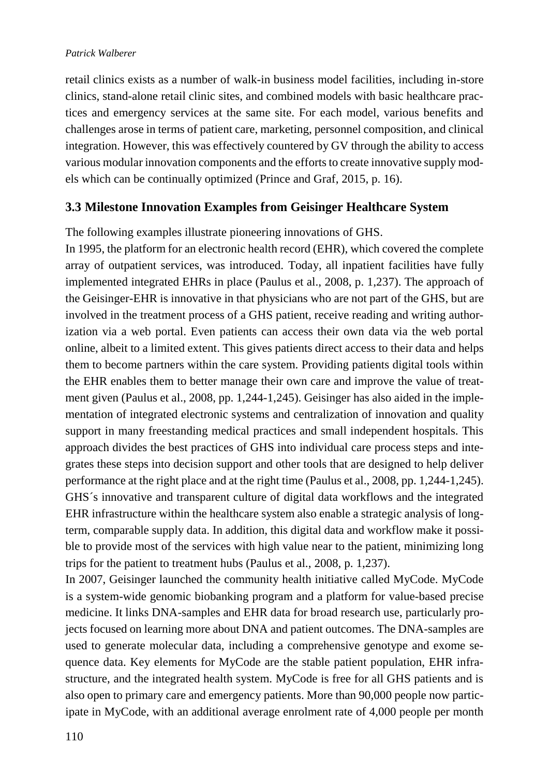#### *Patrick Walberer*

retail clinics exists as a number of walk-in business model facilities, including in-store clinics, stand-alone retail clinic sites, and combined models with basic healthcare practices and emergency services at the same site. For each model, various benefits and challenges arose in terms of patient care, marketing, personnel composition, and clinical integration. However, this was effectively countered by GV through the ability to access various modular innovation components and the efforts to create innovative supply models which can be continually optimized (Prince and Graf, 2015, p. 16).

### <span id="page-7-0"></span>**3.3 Milestone Innovation Examples from Geisinger Healthcare System**

The following examples illustrate pioneering innovations of GHS.

In 1995, the platform for an electronic health record (EHR), which covered the complete array of outpatient services, was introduced. Today, all inpatient facilities have fully implemented integrated EHRs in place (Paulus et al., 2008, p. 1,237). The approach of the Geisinger-EHR is innovative in that physicians who are not part of the GHS, but are involved in the treatment process of a GHS patient, receive reading and writing authorization via a web portal. Even patients can access their own data via the web portal online, albeit to a limited extent. This gives patients direct access to their data and helps them to become partners within the care system. Providing patients digital tools within the EHR enables them to better manage their own care and improve the value of treatment given (Paulus et al., 2008, pp. 1,244-1,245). Geisinger has also aided in the implementation of integrated electronic systems and centralization of innovation and quality support in many freestanding medical practices and small independent hospitals. This approach divides the best practices of GHS into individual care process steps and integrates these steps into decision support and other tools that are designed to help deliver performance at the right place and at the right time (Paulus et al., 2008, pp. 1,244-1,245). GHS´s innovative and transparent culture of digital data workflows and the integrated EHR infrastructure within the healthcare system also enable a strategic analysis of longterm, comparable supply data. In addition, this digital data and workflow make it possible to provide most of the services with high value near to the patient, minimizing long trips for the patient to treatment hubs (Paulus et al., 2008, p. 1,237).

In 2007, Geisinger launched the community health initiative called MyCode. MyCode is a system-wide genomic biobanking program and a platform for value-based precise medicine. It links DNA-samples and EHR data for broad research use, particularly projects focused on learning more about DNA and patient outcomes. The DNA-samples are used to generate molecular data, including a comprehensive genotype and exome sequence data. Key elements for MyCode are the stable patient population, EHR infrastructure, and the integrated health system. MyCode is free for all GHS patients and is also open to primary care and emergency patients. More than 90,000 people now participate in MyCode, with an additional average enrolment rate of 4,000 people per month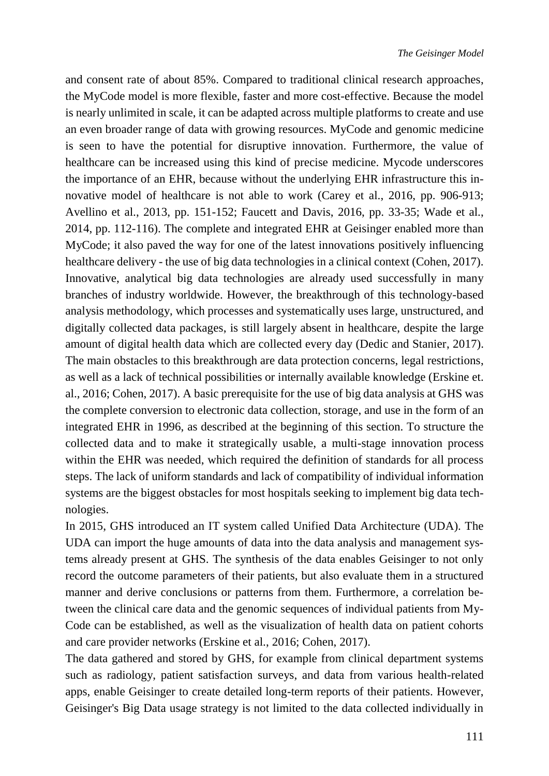and consent rate of about 85%. Compared to traditional clinical research approaches, the MyCode model is more flexible, faster and more cost-effective. Because the model is nearly unlimited in scale, it can be adapted across multiple platforms to create and use an even broader range of data with growing resources. MyCode and genomic medicine is seen to have the potential for disruptive innovation. Furthermore, the value of healthcare can be increased using this kind of precise medicine. Mycode underscores the importance of an EHR, because without the underlying EHR infrastructure this innovative model of healthcare is not able to work (Carey et al., 2016, pp. 906-913; Avellino et al., 2013, pp. 151-152; Faucett and Davis, 2016, pp. 33-35; Wade et al., 2014, pp. 112-116). The complete and integrated EHR at Geisinger enabled more than MyCode; it also paved the way for one of the latest innovations positively influencing healthcare delivery - the use of big data technologies in a clinical context (Cohen, 2017). Innovative, analytical big data technologies are already used successfully in many branches of industry worldwide. However, the breakthrough of this technology-based analysis methodology, which processes and systematically uses large, unstructured, and digitally collected data packages, is still largely absent in healthcare, despite the large amount of digital health data which are collected every day (Dedic and Stanier, 2017). The main obstacles to this breakthrough are data protection concerns, legal restrictions, as well as a lack of technical possibilities or internally available knowledge (Erskine et. al., 2016; Cohen, 2017). A basic prerequisite for the use of big data analysis at GHS was the complete conversion to electronic data collection, storage, and use in the form of an integrated EHR in 1996, as described at the beginning of this section. To structure the collected data and to make it strategically usable, a multi-stage innovation process within the EHR was needed, which required the definition of standards for all process steps. The lack of uniform standards and lack of compatibility of individual information systems are the biggest obstacles for most hospitals seeking to implement big data technologies.

In 2015, GHS introduced an IT system called Unified Data Architecture (UDA). The UDA can import the huge amounts of data into the data analysis and management systems already present at GHS. The synthesis of the data enables Geisinger to not only record the outcome parameters of their patients, but also evaluate them in a structured manner and derive conclusions or patterns from them. Furthermore, a correlation between the clinical care data and the genomic sequences of individual patients from My-Code can be established, as well as the visualization of health data on patient cohorts and care provider networks (Erskine et al., 2016; Cohen, 2017).

The data gathered and stored by GHS, for example from clinical department systems such as radiology, patient satisfaction surveys, and data from various health-related apps, enable Geisinger to create detailed long-term reports of their patients. However, Geisinger's Big Data usage strategy is not limited to the data collected individually in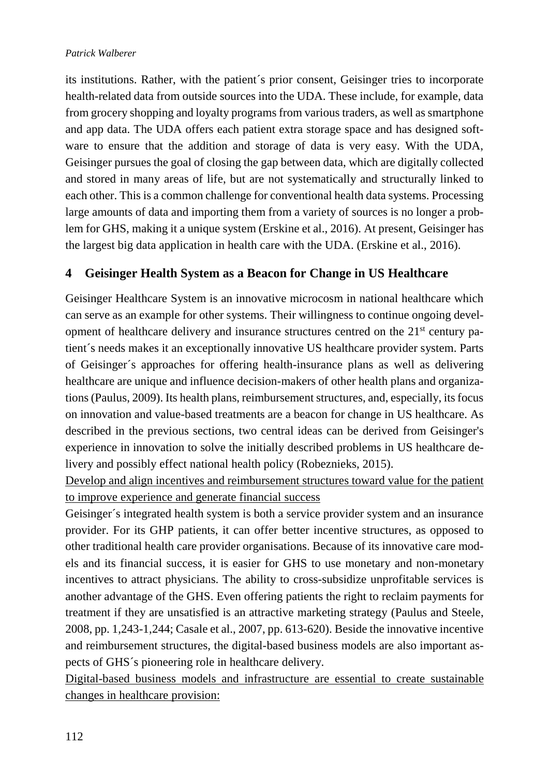its institutions. Rather, with the patient´s prior consent, Geisinger tries to incorporate health-related data from outside sources into the UDA. These include, for example, data from grocery shopping and loyalty programs from various traders, as well as smartphone and app data. The UDA offers each patient extra storage space and has designed software to ensure that the addition and storage of data is very easy. With the UDA, Geisinger pursues the goal of closing the gap between data, which are digitally collected and stored in many areas of life, but are not systematically and structurally linked to each other. This is a common challenge for conventional health data systems. Processing large amounts of data and importing them from a variety of sources is no longer a problem for GHS, making it a unique system (Erskine et al., 2016). At present, Geisinger has the largest big data application in health care with the UDA. (Erskine et al., 2016).

# <span id="page-9-0"></span>**4 Geisinger Health System as a Beacon for Change in US Healthcare**

Geisinger Healthcare System is an innovative microcosm in national healthcare which can serve as an example for other systems. Their willingness to continue ongoing development of healthcare delivery and insurance structures centred on the 21<sup>st</sup> century patient´s needs makes it an exceptionally innovative US healthcare provider system. Parts of Geisinger´s approaches for offering health-insurance plans as well as delivering healthcare are unique and influence decision-makers of other health plans and organizations (Paulus, 2009). Its health plans, reimbursement structures, and, especially, its focus on innovation and value-based treatments are a beacon for change in US healthcare. As described in the previous sections, two central ideas can be derived from Geisinger's experience in innovation to solve the initially described problems in US healthcare delivery and possibly effect national health policy (Robeznieks, 2015).

Develop and align incentives and reimbursement structures toward value for the patient to improve experience and generate financial success

Geisinger´s integrated health system is both a service provider system and an insurance provider. For its GHP patients, it can offer better incentive structures, as opposed to other traditional health care provider organisations. Because of its innovative care models and its financial success, it is easier for GHS to use monetary and non-monetary incentives to attract physicians. The ability to cross-subsidize unprofitable services is another advantage of the GHS. Even offering patients the right to reclaim payments for treatment if they are unsatisfied is an attractive marketing strategy (Paulus and Steele, 2008, pp. 1,243-1,244; Casale et al., 2007, pp. 613-620). Beside the innovative incentive and reimbursement structures, the digital-based business models are also important aspects of GHS´s pioneering role in healthcare delivery.

Digital-based business models and infrastructure are essential to create sustainable changes in healthcare provision: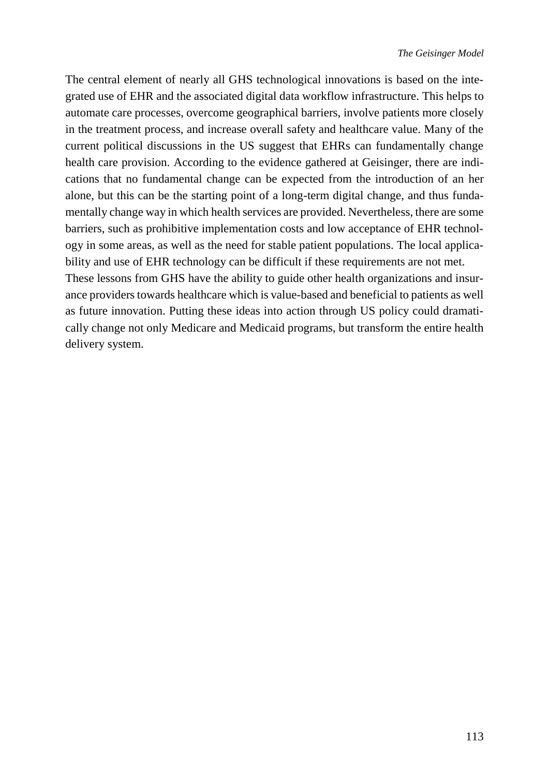The central element of nearly all GHS technological innovations is based on the integrated use of EHR and the associated digital data workflow infrastructure. This helps to automate care processes, overcome geographical barriers, involve patients more closely in the treatment process, and increase overall safety and healthcare value. Many of the current political discussions in the US suggest that EHRs can fundamentally change health care provision. According to the evidence gathered at Geisinger, there are indications that no fundamental change can be expected from the introduction of an her alone, but this can be the starting point of a long-term digital change, and thus fundamentally change way in which health services are provided. Nevertheless, there are some barriers, such as prohibitive implementation costs and low acceptance of EHR technology in some areas, as well as the need for stable patient populations. The local applicability and use of EHR technology can be difficult if these requirements are not met.

These lessons from GHS have the ability to guide other health organizations and insurance providers towards healthcare which is value-based and beneficial to patients as well as future innovation. Putting these ideas into action through US policy could dramatically change not only Medicare and Medicaid programs, but transform the entire health delivery system.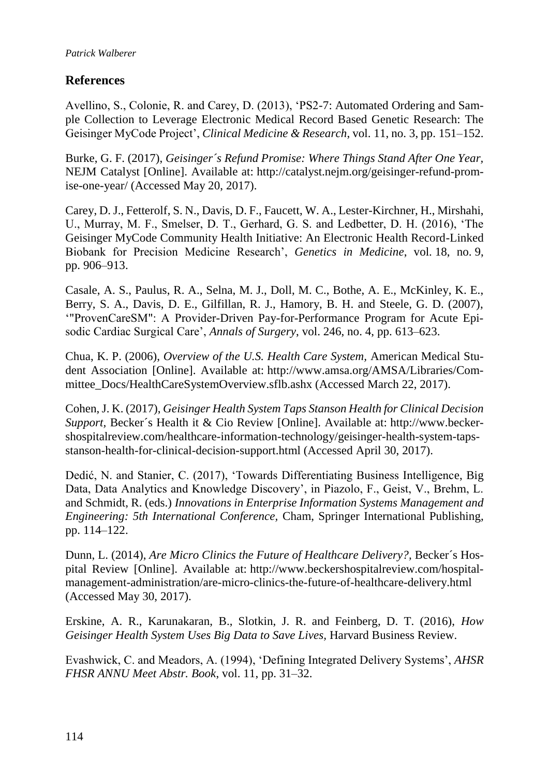### <span id="page-11-0"></span>**References**

Avellino, S., Colonie, R. and Carey, D. (2013), 'PS2-7: Automated Ordering and Sample Collection to Leverage Electronic Medical Record Based Genetic Research: The Geisinger MyCode Project', *Clinical Medicine & Research*, vol. 11, no. 3, pp. 151–152.

Burke, G. F. (2017), *Geisinger´s Refund Promise: Where Things Stand After One Year,*  NEJM Catalyst [Online]. Available at: http://catalyst.nejm.org/geisinger-refund-promise-one-year/ (Accessed May 20, 2017).

Carey, D. J., Fetterolf, S. N., Davis, D. F., Faucett, W. A., Lester-Kirchner, H., Mirshahi, U., Murray, M. F., Smelser, D. T., Gerhard, G. S. and Ledbetter, D. H. (2016), 'The Geisinger MyCode Community Health Initiative: An Electronic Health Record-Linked Biobank for Precision Medicine Research', *Genetics in Medicine*, vol. 18, no. 9, pp. 906–913.

Casale, A. S., Paulus, R. A., Selna, M. J., Doll, M. C., Bothe, A. E., McKinley, K. E., Berry, S. A., Davis, D. E., Gilfillan, R. J., Hamory, B. H. and Steele, G. D. (2007), '"ProvenCareSM": A Provider-Driven Pay-for-Performance Program for Acute Episodic Cardiac Surgical Care', *Annals of Surgery*, vol. 246, no. 4, pp. 613–623.

Chua, K. P. (2006), *Overview of the U.S. Health Care System,* American Medical Student Association [Online]. Available at: http://www.amsa.org/AMSA/Libraries/Committee\_Docs/HealthCareSystemOverview.sflb.ashx (Accessed March 22, 2017).

Cohen, J. K. (2017), *Geisinger Health System Taps Stanson Health for Clinical Decision Support,* Becker´s Health it & Cio Review [Online]. Available at: http://www.beckershospitalreview.com/healthcare-information-technology/geisinger-health-system-tapsstanson-health-for-clinical-decision-support.html (Accessed April 30, 2017).

Dedić, N. and Stanier, C. (2017), 'Towards Differentiating Business Intelligence, Big Data, Data Analytics and Knowledge Discovery', in Piazolo, F., Geist, V., Brehm, L. and Schmidt, R. (eds.) *Innovations in Enterprise Information Systems Management and Engineering: 5th International Conference,* Cham, Springer International Publishing, pp. 114–122.

Dunn, L. (2014), *Are Micro Clinics the Future of Healthcare Delivery?,* Becker´s Hospital Review [Online]. Available at: http://www.beckershospitalreview.com/hospitalmanagement-administration/are-micro-clinics-the-future-of-healthcare-delivery.html (Accessed May 30, 2017).

Erskine, A. R., Karunakaran, B., Slotkin, J. R. and Feinberg, D. T. (2016), *How Geisinger Health System Uses Big Data to Save Lives,* Harvard Business Review.

Evashwick, C. and Meadors, A. (1994), 'Defining Integrated Delivery Systems', *AHSR FHSR ANNU Meet Abstr. Book*, vol. 11, pp. 31–32.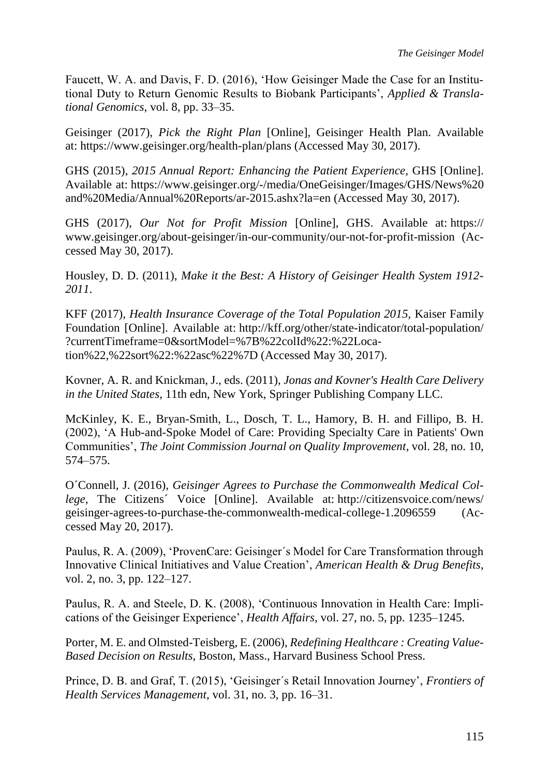Faucett, W. A. and Davis, F. D. (2016), 'How Geisinger Made the Case for an Institutional Duty to Return Genomic Results to Biobank Participants', *Applied & Translational Genomics*, vol. 8, pp. 33–35.

Geisinger (2017), *Pick the Right Plan* [Online], Geisinger Health Plan. Available at: https://www.geisinger.org/health-plan/plans (Accessed May 30, 2017).

GHS (2015), *2015 Annual Report: Enhancing the Patient Experience,* GHS [Online]. Available at: https://www.geisinger.org/-/media/OneGeisinger/Images/GHS/News%20 and%20Media/Annual%20Reports/ar-2015.ashx?la=en (Accessed May 30, 2017).

GHS (2017), *Our Not for Profit Mission* [Online], GHS. Available at: https:// www.geisinger.org/about-geisinger/in-our-community/our-not-for-profit-mission (Accessed May 30, 2017).

Housley, D. D. (2011), *Make it the Best: A History of Geisinger Health System 1912- 2011*.

KFF (2017), *Health Insurance Coverage of the Total Population 2015,* Kaiser Family Foundation [Online]. Available at: http://kff.org/other/state-indicator/total-population/ ?currentTimeframe=0&sortModel=%7B%22colId%22:%22Location%22,%22sort%22:%22asc%22%7D (Accessed May 30, 2017).

Kovner, A. R. and Knickman, J., eds. (2011), *Jonas and Kovner's Health Care Delivery in the United States*, 11th edn, New York, Springer Publishing Company LLC.

McKinley, K. E., Bryan-Smith, L., Dosch, T. L., Hamory, B. H. and Fillipo, B. H. (2002), 'A Hub-and-Spoke Model of Care: Providing Specialty Care in Patients' Own Communities', *The Joint Commission Journal on Quality Improvement*, vol. 28, no. 10, 574–575.

O´Connell, J. (2016), *Geisinger Agrees to Purchase the Commonwealth Medical College,* The Citizens´ Voice [Online]. Available at: http://citizensvoice.com/news/ geisinger-agrees-to-purchase-the-commonwealth-medical-college-1.2096559 (Accessed May 20, 2017).

Paulus, R. A. (2009), 'ProvenCare: Geisinger´s Model for Care Transformation through Innovative Clinical Initiatives and Value Creation', *American Health & Drug Benefits*, vol. 2, no. 3, pp. 122–127.

Paulus, R. A. and Steele, D. K. (2008), 'Continuous Innovation in Health Care: Implications of the Geisinger Experience', *Health Affairs*, vol. 27, no. 5, pp. 1235–1245.

Porter, M. E. and Olmsted-Teisberg, E. (2006), *Redefining Healthcare : Creating Value-Based Decision on Results*, Boston, Mass., Harvard Business School Press.

Prince, D. B. and Graf, T. (2015), 'Geisinger´s Retail Innovation Journey', *Frontiers of Health Services Management*, vol. 31, no. 3, pp. 16–31.